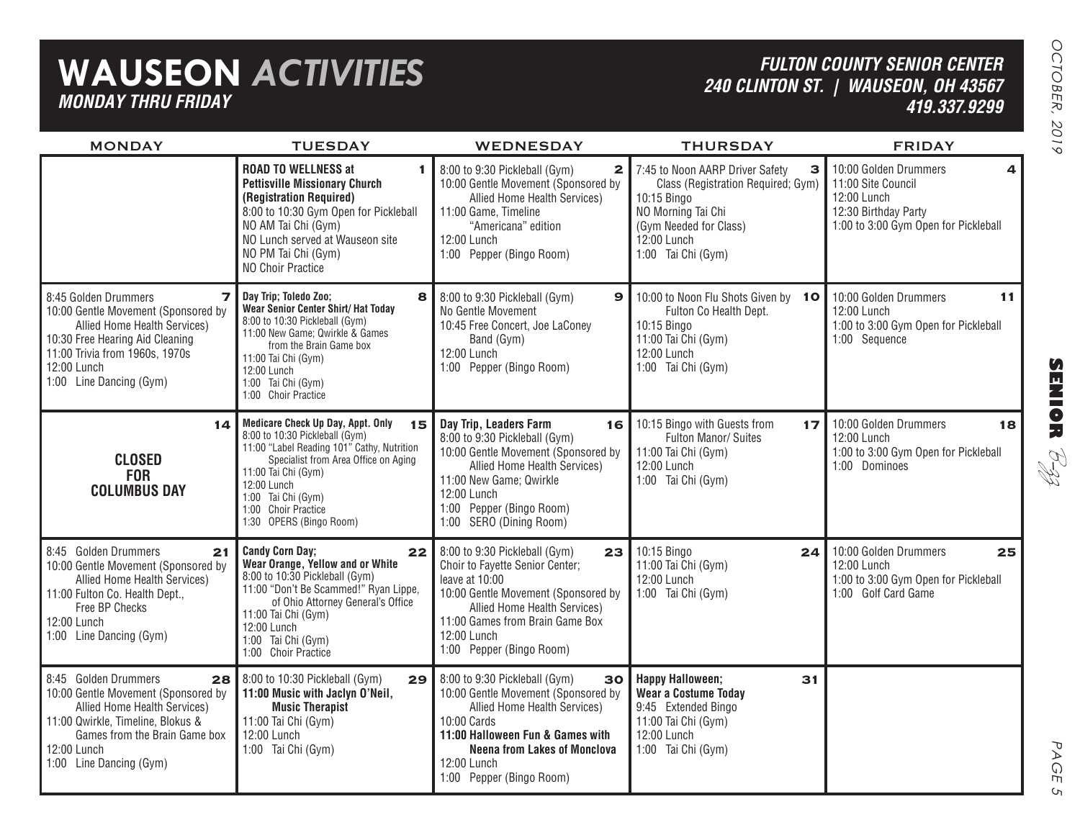## **WAUSEON** *ACTIVITIES MONDAY THRU FRIDAY*

### *FULTON COUNTY SENIOR CENTER240 CLINTON ST. | WAUSEON, OH 43567 419.337.9299*

| <b>MONDAY</b>                                                                                                                                                                                                                         | <b>TUESDAY</b>                                                                                                                                                                                                                                                                       | <b>WEDNESDAY</b>                                                                                                                                                                                                                                | <b>THURSDAY</b>                                                                                                                                                                | <b>FRIDAY</b>                                                                                                                   |
|---------------------------------------------------------------------------------------------------------------------------------------------------------------------------------------------------------------------------------------|--------------------------------------------------------------------------------------------------------------------------------------------------------------------------------------------------------------------------------------------------------------------------------------|-------------------------------------------------------------------------------------------------------------------------------------------------------------------------------------------------------------------------------------------------|--------------------------------------------------------------------------------------------------------------------------------------------------------------------------------|---------------------------------------------------------------------------------------------------------------------------------|
|                                                                                                                                                                                                                                       | <b>ROAD TO WELLNESS at</b><br>1<br><b>Pettisville Missionary Church</b><br>(Registration Required)<br>8:00 to 10:30 Gym Open for Pickleball<br>NO AM Tai Chi (Gym)<br>NO Lunch served at Wauseon site<br>NO PM Tai Chi (Gym)<br>NO Choir Practice                                    | 8:00 to 9:30 Pickleball (Gym)<br>$\mathbf{2}$<br>10:00 Gentle Movement (Sponsored by<br>Allied Home Health Services)<br>11:00 Game, Timeline<br>"Americana" edition<br>12:00 Lunch<br>1:00 Pepper (Bingo Room)                                  | 7:45 to Noon AARP Driver Safety<br>З<br>Class (Registration Required; Gym)<br>10:15 Bingo<br>NO Morning Tai Chi<br>(Gym Needed for Class)<br>12:00 Lunch<br>1:00 Tai Chi (Gym) | 10:00 Golden Drummers<br>4<br>11:00 Site Council<br>12:00 Lunch<br>12:30 Birthday Party<br>1:00 to 3:00 Gym Open for Pickleball |
| 8:45 Golden Drummers<br>$\overline{\mathbf{z}}$<br>10:00 Gentle Movement (Sponsored by<br>Allied Home Health Services)<br>10:30 Free Hearing Aid Cleaning<br>11:00 Trivia from 1960s, 1970s<br>12:00 Lunch<br>1:00 Line Dancing (Gym) | Day Trip; Toledo Zoo;<br>8<br>Wear Senior Center Shirt/ Hat Today<br>8:00 to 10:30 Pickleball (Gym)<br>11:00 New Game; Qwirkle & Games<br>from the Brain Game box<br>11:00 Tai Chi (Gym)<br>12:00 Lunch<br>1:00 Tai Chi (Gym)<br>1:00 Choir Practice                                 | 8:00 to 9:30 Pickleball (Gym)<br>$\mathbf{9}$<br>No Gentle Movement<br>10:45 Free Concert, Joe LaConey<br>Band (Gym)<br>12:00 Lunch<br>1:00 Pepper (Bingo Room)                                                                                 | 10:00 to Noon Flu Shots Given by 10<br>Fulton Co Health Dept.<br>10:15 Bingo<br>11:00 Tai Chi (Gym)<br>12:00 Lunch<br>1:00 Tai Chi (Gym)                                       | 10:00 Golden Drummers<br>11<br>12:00 Lunch<br>1:00 to 3:00 Gym Open for Pickleball<br>1:00 Sequence                             |
| 14<br><b>CLOSED</b><br><b>FOR</b><br><b>COLUMBUS DAY</b>                                                                                                                                                                              | <b>Medicare Check Up Day, Appt. Only</b><br>15<br>8:00 to 10:30 Pickleball (Gym)<br>11:00 "Label Reading 101" Cathy, Nutrition<br>Specialist from Area Office on Aging<br>11:00 Tai Chi (Gym)<br>12:00 Lunch<br>1:00 Tai Chi (Gym)<br>1:00 Choir Practice<br>1:30 OPERS (Bingo Room) | Day Trip, Leaders Farm<br>16<br>8:00 to 9:30 Pickleball (Gym)<br>10:00 Gentle Movement (Sponsored by<br>Allied Home Health Services)<br>11:00 New Game; Qwirkle<br>12:00 Lunch<br>1:00 Pepper (Bingo Room)<br>1:00 SERO (Dining Room)           | 10:15 Bingo with Guests from<br>17 <sub>l</sub><br>Fulton Manor/ Suites<br>11:00 Tai Chi (Gym)<br>12:00 Lunch<br>1:00 Tai Chi (Gym)                                            | 10:00 Golden Drummers<br>18<br>12:00 Lunch<br>1:00 to 3:00 Gym Open for Pickleball<br>1:00 Dominoes                             |
| 8:45 Golden Drummers<br>21<br>10:00 Gentle Movement (Sponsored by<br>Allied Home Health Services)<br>11:00 Fulton Co. Health Dept.,<br>Free BP Checks<br>12:00 Lunch<br>1:00 Line Dancing (Gym)                                       | <b>Candy Corn Day;</b><br>22<br>Wear Orange, Yellow and or White<br>8:00 to 10:30 Pickleball (Gym)<br>11:00 "Don't Be Scammed!" Ryan Lippe,<br>of Ohio Attorney General's Office<br>11:00 Tai Chi (Gym)<br>12:00 Lunch<br>1:00 Tai Chi (Gym)<br>1:00 Choir Practice                  | 8:00 to 9:30 Pickleball (Gym)<br>23<br>Choir to Fayette Senior Center;<br>leave at 10:00<br>10:00 Gentle Movement (Sponsored by<br>Allied Home Health Services)<br>11:00 Games from Brain Game Box<br>12:00 Lunch<br>1:00 Pepper (Bingo Room)   | 10:15 Bingo<br>24<br>11:00 Tai Chi (Gym)<br>12:00 Lunch<br>1:00 Tai Chi (Gym)                                                                                                  | 10:00 Golden Drummers<br>25<br>12:00 Lunch<br>1:00 to 3:00 Gym Open for Pickleball<br>1:00 Golf Card Game                       |
| 8:45 Golden Drummers<br>28<br>10:00 Gentle Movement (Sponsored by<br>Allied Home Health Services)<br>11:00 Qwirkle, Timeline, Blokus &<br>Games from the Brain Game box<br>12:00 Lunch<br>1:00 Line Dancing (Gym)                     | 8:00 to 10:30 Pickleball (Gym)<br>29<br>11:00 Music with Jaclyn O'Neil,<br><b>Music Therapist</b><br>11:00 Tai Chi (Gym)<br>12:00 Lunch<br>1:00 Tai Chi (Gym)                                                                                                                        | 8:00 to 9:30 Pickleball (Gym)<br>30<br>10:00 Gentle Movement (Sponsored by<br>Allied Home Health Services)<br>10:00 Cards<br>11:00 Halloween Fun & Games with<br><b>Neena from Lakes of Monclova</b><br>12:00 Lunch<br>1:00 Pepper (Bingo Room) | <b>Happy Halloween;</b><br>31<br><b>Wear a Costume Today</b><br>9:45 Extended Bingo<br>11:00 Tai Chi (Gym)<br>12:00 Lunch<br>1:00 Tai Chi (Gym)                                |                                                                                                                                 |

**SENIOR** B-zz

> PAGE PAGE 5  $\mathsf{C}_{\mathsf{L}}$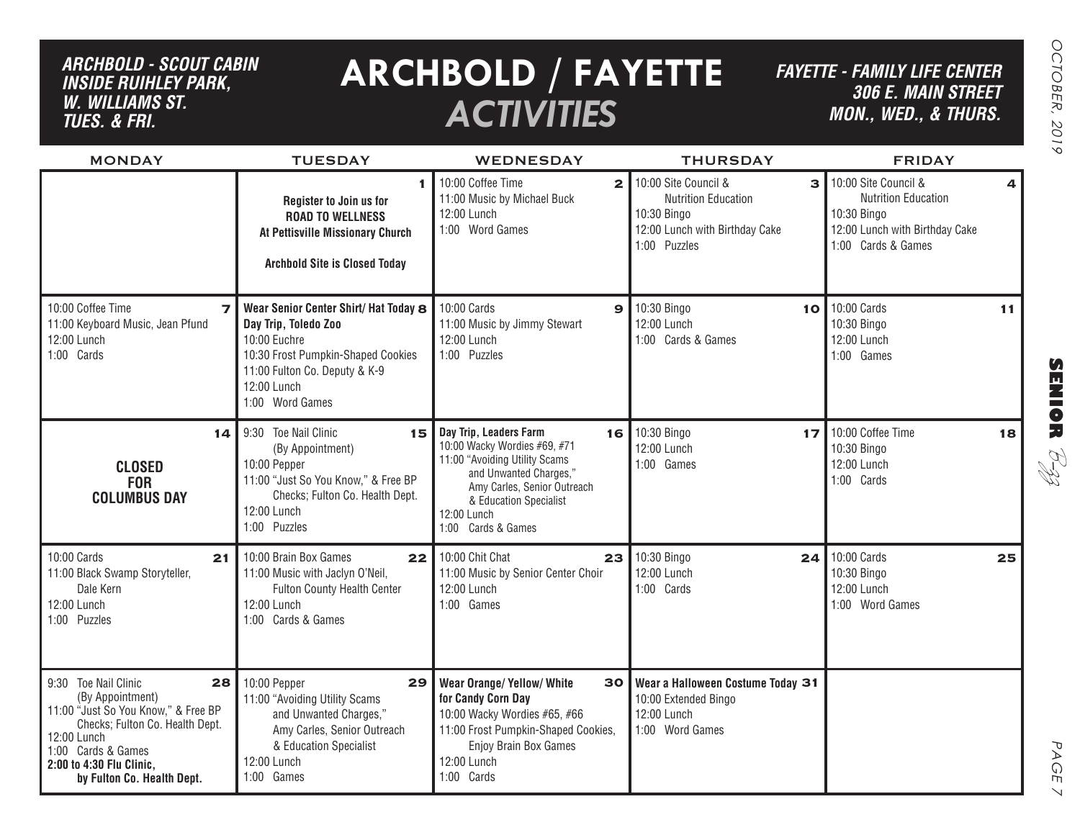## *ARCHBOLD - SCOUT CABIN inside ruihley park, w. williams st. tues. & FRI.*

# **ARCHBOLD / FAYETTE** *ACTIVITIES*

*FAYETTE - FAMILY LIFE CENTER306 E. Main Street MON., Wed., & THURS.*

| <b>MONDAY</b>                                                                                                                                                                                                           | <b>TUESDAY</b>                                                                                                                                                                         | <b>WEDNESDAY</b>                                                                                                                                                                                                | <b>THURSDAY</b>                                                                                                          | <b>FRIDAY</b>                                                                                                                  |
|-------------------------------------------------------------------------------------------------------------------------------------------------------------------------------------------------------------------------|----------------------------------------------------------------------------------------------------------------------------------------------------------------------------------------|-----------------------------------------------------------------------------------------------------------------------------------------------------------------------------------------------------------------|--------------------------------------------------------------------------------------------------------------------------|--------------------------------------------------------------------------------------------------------------------------------|
|                                                                                                                                                                                                                         | 1<br>Register to Join us for<br><b>ROAD TO WELLNESS</b><br>At Pettisville Missionary Church<br><b>Archbold Site is Closed Today</b>                                                    | 10:00 Coffee Time<br>$\mathbf{2}$<br>11:00 Music by Michael Buck<br>12:00 Lunch<br>1:00 Word Games                                                                                                              | 10:00 Site Council &<br>3<br><b>Nutrition Education</b><br>10:30 Bingo<br>12:00 Lunch with Birthday Cake<br>1:00 Puzzles | 10:00 Site Council &<br>4<br><b>Nutrition Education</b><br>10:30 Bingo<br>12:00 Lunch with Birthday Cake<br>1:00 Cards & Games |
| 10:00 Coffee Time<br>$\overline{\phantom{a}}$<br>11:00 Keyboard Music, Jean Pfund<br>12:00 Lunch<br>1:00 Cards                                                                                                          | Wear Senior Center Shirt/ Hat Today 8<br>Day Trip, Toledo Zoo<br>10:00 Euchre<br>10:30 Frost Pumpkin-Shaped Cookies<br>11:00 Fulton Co. Deputy & K-9<br>12:00 Lunch<br>1:00 Word Games | 10:00 Cards<br>$\mathbf{9}$<br>11:00 Music by Jimmy Stewart<br>12:00 Lunch<br>1:00 Puzzles                                                                                                                      | 10:30 Bingo<br>10<br>12:00 Lunch<br>1:00 Cards & Games                                                                   | 10:00 Cards<br>11<br>10:30 Bingo<br>12:00 Lunch<br>1:00 Games                                                                  |
| 14<br><b>CLOSED</b><br><b>FOR</b><br><b>COLUMBUS DAY</b>                                                                                                                                                                | 9:30 Toe Nail Clinic<br>15<br>(By Appointment)<br>10:00 Pepper<br>11:00 "Just So You Know," & Free BP<br>Checks; Fulton Co. Health Dept.<br>12:00 Lunch<br>1:00 Puzzles                | Day Trip, Leaders Farm<br>10:00 Wacky Wordies #69, #71<br>11:00 "Avoiding Utility Scams<br>and Unwanted Charges,"<br>Amy Carles, Senior Outreach<br>& Education Specialist<br>12:00 Lunch<br>1:00 Cards & Games | 16 10:30 Bingo<br>17<br>12:00 Lunch<br>1:00 Games                                                                        | 10:00 Coffee Time<br>18<br>10:30 Bingo<br>12:00 Lunch<br>1:00 Cards                                                            |
| 10:00 Cards<br>21<br>11:00 Black Swamp Storyteller,<br>Dale Kern<br>12:00 Lunch<br>1:00 Puzzles                                                                                                                         | 10:00 Brain Box Games<br>22<br>11:00 Music with Jaclyn O'Neil,<br>Fulton County Health Center<br>12:00 Lunch<br>1:00 Cards & Games                                                     | 10:00 Chit Chat<br>23<br>11:00 Music by Senior Center Choir<br>12:00 Lunch<br>1:00 Games                                                                                                                        | 10:30 Bingo<br>24<br>12:00 Lunch<br>1:00 Cards                                                                           | 10:00 Cards<br>25<br>10:30 Bingo<br>12:00 Lunch<br>1:00 Word Games                                                             |
| 9:30 Toe Nail Clinic<br>28<br>(By Appointment)<br>11:00 "Just So You Know," & Free BP<br>Checks; Fulton Co. Health Dept.<br>12:00 Lunch<br>1:00 Cards & Games<br>2:00 to 4:30 Flu Clinic,<br>by Fulton Co. Health Dept. | 10:00 Pepper<br>29<br>11:00 "Avoiding Utility Scams<br>and Unwanted Charges,"<br>Amy Carles, Senior Outreach<br>& Education Specialist<br>12:00 Lunch<br>1:00 Games                    | <b>Wear Orange/ Yellow/ White</b><br>30<br>for Candy Corn Day<br>10:00 Wacky Wordies #65, #66<br>11:00 Frost Pumpkin-Shaped Cookies,<br>Enjoy Brain Box Games<br>12:00 Lunch<br>1:00 Cards                      | Wear a Halloween Costume Today 31<br>10:00 Extended Bingo<br>12:00 Lunch<br>1:00 Word Games                              |                                                                                                                                |

**SENIOR** B-zz

> PAGE PAGE 7  $\vee$